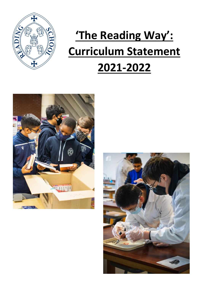

# **'The Reading Way': Curriculum Statement 2021-2022**



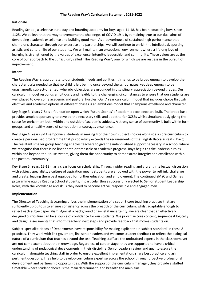### **Rationale**

Reading School, a selective state day and boarding academy for boys aged 11-18, has been educating boys since 1125. We believe that the way to overcome the challenges of COVID-19 is by remaining true to our dual aims of developing academic excellence and building good men. As a powerhouse of sustained high performance that champions character through our expertise and partnerships, we will continue to enrich the intellectual, sporting, artistic and cultural life of our students. We will maintain an exceptional environment where a lifelong love of learning is strengthened by the values of excellence, integrity, leadership, and community. These values are at the core of our approach to the curriculum, called "The Reading Way", one for which we are restless in the pursuit of improvement.

### **Intent**

The Reading Way is appropriate to our students' needs and abilities. It intends to be broad enough to develop the character traits needed so that no child is left behind once beyond the school gates, yet deep enough to be unashamedly subject-oriented, whereby objectives are grounded in disciplinary appreciation beyond grades. Our curriculum model responds ambitiously and flexibly to the challenging circumstances to ensure that our students are well placed to overcome academic and pastoral hurdles. Our 7 Year curriculum model that includes choice through electives and academic options at different phases is an ambitious model that champions excellence and character.

Key Stage 3 (Years 7-8) is a foundation upon which 'Future Stories' of academic excellence are built. The broad base provides ample opportunity to develop the necessary skills and appetite for GCSEs whilst simultaneously giving the space for enrichment both within and outside of academic subjects. A strong sense of community is built within form groups, and a healthy sense of competition encourages excellence.

Key Stage 4 (Years 9-11) empowers students in making 4 of their own subject choices alongside a core curriculum to create a personalised programme that purposefully exceeds the requirements of the English Baccalaureat (EBacc). The resultant smaller group teaching enables teachers to give the individualised support necessary in a school where we recognise that there is no linear path or timescale to academic progress. Boys begin to take leadership roles within and beyond the House system, giving them the opportunity to demonstrate integrity and excellence within the pastoral community.

Key Stage 5 (Years 12-13) has a clear focus on scholarship. Through wider reading and vibrant intellectual discussion with subject specialists, a culture of aspiration means students are endowed with the power to rethink, challenge and create, leaving them best equipped for further education and employment. The continued SMSC and Games programme equips Reading School students, in particular those successfully elected to Senior Student Leadership Roles, with the knowledge and skills they need to become active, responsible and engaged men.

## **Implementation**

The Director of Teaching & Learning drives the implementation of a set of 8 core teaching practices that are sufficiently ubiquitous to ensure consistency across the breadth of the curriculum, whilst adaptable enough to reflect each subject specialism. Against a background of societal uncertainty, we are clear that an effectively designed curriculum can be a source of confidence for our students. We prioritise core content, sequence it logically and design assessments that inform teachers' next steps and provide feedback that moves students on.

Subject-specialist Heads of Departments have responsibility for making explicit their 'subject standard' in these 8 practices. They work with link governors, link senior leaders and welcome student feedback to reflect the dialogical nature of a curriculum that teaches beyond the test. Teaching staff are the undoubted experts in the classroom, yet are not complacent about their knowledge. Regardless of career stage, they are supported to have a critical understanding of pedagogical developments in their discipline. Senior Leaders review and quality-assure the curriculum alongside teaching staff in order to ensure excellent implementation, share best practice and ask pertinent questions. They help to develop curriculum expertise across the school through proactive professional development and partnership opportunities. With the support of the curriculum manager, they provide a staffed timetable where student choice is the main determinant, and breadth the main aim.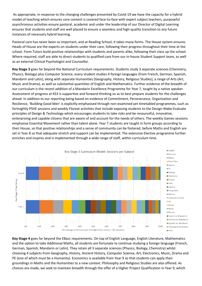As appropriate, in response to the changing challenges presented by Covid-19 we have the capacity for a hybrid model of teaching which ensures core content is covered face-to-face with expert subject teachers, purposeful asynchronous activities ensure pastoral, academic and under the leadership of our Director of Digital Learning ensures that students and staff are well placed to ensure a seamless and high-quality transition to any future instances of necessary hybrid learning.

Pastoral care has never been so important, and at Reading School, it takes many forms. The House system ensures Heads of House are the experts on students under their care, following their progress throughout their time at the school. Form Tutors build positive relationships with students and parents alike, following their class up the school. Where required, staff are able to direct students to qualified care from our in-house Student Support team, as well as an external Clinical Psychologist and Counsellor.

**Key Stage 3** goes far beyond the National Curriculum requirements. Students study 3 separate sciences (Chemistry, Physics, Biology) plus Computer Science, every student studies 4 foreign languages (from French, German, Spanish, Mandarin and Latin), along with separate Humanities (Geography, History, Religious Studies), a range of Arts (Art, Music and Drama), as well as substantial quantities of English and Mathematics. Further evidence of the breadth of our curriculum is the recent addition of a Mandarin Excellence Programme for Year 7, taught by a native speaker. Assessment of progress at KS3 is supportive and forward-thinking so as to best prepare students for the challenges ahead. In addition to our reporting being based on evidence of Commitment, Perseverance, Organisation and Resilience, 'Building Good Men' is explicitly emphasised through non-examined yet timetabled programmes, such as fortnightly PSHE sessions and weekly Floreat activities that include exposing students to the Design-Make-Evaluate principles of Design & Technology which encourages students to take risks and be resourceful, innovative, enterprising and capable citizens that are aware of and account for the needs of others. The weekly Games sessions emphasise Essential Movement rather than talent alone. Year 7 students are taught in form groups according to their House, so that positive relationships and a sense of community can be fostered, before Maths and English are set in Year 8 so that adequate stretch and support can be implemented. The extensive Elective programme further enriches and inspires and is implemented through a wide range of staff, within curriculum time.



**Key Stage 4** goes far beyond the EBacc requirements. On top of English Language, English Literature, Mathematics and the option to take Additional Maths, all students are fortunate to continue studying a foreign language (French, German, Spanish, Mandarin or Latin). They retain all 3 separate sciences (Physics, Biology, Chemistry) whilst choosing 4 subjects from Geography, History, Ancient History, Computer Science, Art, Electronics, Music, Drama and PE (one of which must be a Humanity). Economics is available from Year 9 so that students can apply their groundings in Maths and the Humanities to a new context. Philosophy and Religious Studies are also offered. As choices are made, we seek to maintain breadth through the offer of a Higher Project Qualification in Year 9, which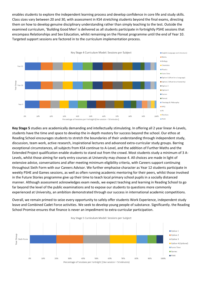enables students to explore the independent learning process and develop confidence in core life and study skills. Class sizes vary between 20 and 30, with assessment in KS4 stretching students beyond the final exams, directing them on how to develop genuine disciplinary understanding rather than simply teaching to the test. Outside the examined curriculum, 'Building Good Men' is delivered as all students participate in fortnightly PSHE sessions that encompass Relationships and Sex Education, whilst remaining on the Floreat programme until the end of Year 10. Targeted support sessions are factored in to the curriculum implementation process.



**Key Stage 5** studies are academically demanding and intellectually stimulating. In offering all 2 year linear A-Levels, students have the time and space to develop the in-depth mastery for success beyond the school. Our ethos at Reading School encourages students to stretch the boundaries of their understanding through independent study, discussion, team work, active research, inspirational lectures and advanced extra-curricular study groups. Barring exceptional circumstances, all subjects from KS4 continue to A-Level, and the addition of Further Maths and the Extended Project qualification enable students to stand out from the crowd. Most students study a minimum of 3 A-Levels, whilst those aiming for early entry courses at University may choose 4. All choices are made in light of extensive advice, conversations and after meeting minimum eligibility criteria, with Careers support continuing throughout Sixth Form with our Careers Advisor. We further emphasise character as Year 12 students participate in weekly PSHE and Games sessions, as well as often running academic mentoring for their peers, whilst those involved in the Future Stories programme give up their time to teach local primary school pupils in a socially distanced manner. Although assessment acknowledges exam needs, we expect teaching and learning in Reading School to go far beyond the level of the public examinations and to expose our students to questions more commonly experienced at University, an ambition demonstrated through our success in international academic competitions.

Overall, we remain primed to seize every opportunity to safely offer students Work Experience, independent study leave and Combined Cadet Force activities. We seek to develop young people of substance. Significantly. the Reading School Promise ensures that finance is never an impediment to extra-curricular participation.